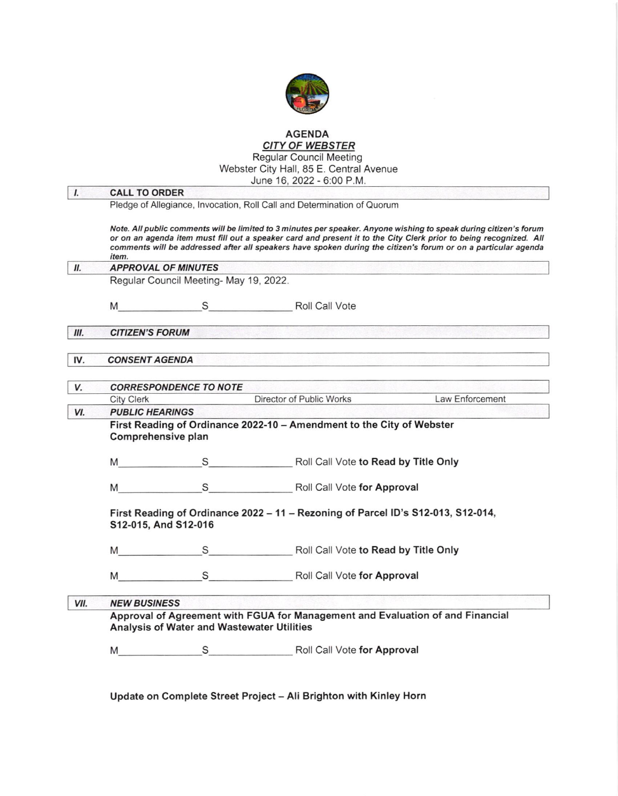

# **AGENDA**

**CITY OF WEBSTER**<br>Regular Council Meeting<br>Webster City Hall, 85 E. Central Avenue

|                |                                                                                      |                                            | June 16, 2022 - 6:00 P.M.                                                        |                                                                                                                                                                                                                                                                                                                                                           |
|----------------|--------------------------------------------------------------------------------------|--------------------------------------------|----------------------------------------------------------------------------------|-----------------------------------------------------------------------------------------------------------------------------------------------------------------------------------------------------------------------------------------------------------------------------------------------------------------------------------------------------------|
| $\mathbf{I}$ . | <b>CALL TO ORDER</b>                                                                 |                                            |                                                                                  |                                                                                                                                                                                                                                                                                                                                                           |
|                |                                                                                      |                                            | Pledge of Allegiance, Invocation, Roll Call and Determination of Quorum          |                                                                                                                                                                                                                                                                                                                                                           |
|                | item.                                                                                |                                            |                                                                                  | Note. All public comments will be limited to 3 minutes per speaker. Anyone wishing to speak during citizen's forum<br>or on an agenda item must fill out a speaker card and present it to the City Clerk prior to being recognized. All<br>comments will be addressed after all speakers have spoken during the citizen's forum or on a particular agenda |
| II.            | <b>APPROVAL OF MINUTES</b>                                                           |                                            |                                                                                  |                                                                                                                                                                                                                                                                                                                                                           |
|                |                                                                                      | Regular Council Meeting- May 19, 2022.     |                                                                                  |                                                                                                                                                                                                                                                                                                                                                           |
|                |                                                                                      |                                            | M S Roll Call Vote                                                               |                                                                                                                                                                                                                                                                                                                                                           |
| III.           | <b>CITIZEN'S FORUM</b>                                                               |                                            |                                                                                  |                                                                                                                                                                                                                                                                                                                                                           |
| IV.            | <b>CONSENT AGENDA</b><br>가게 보기 없는 것이 있는 사람이 있어요. 이 장치는 사람이 아이들을 받았어? 그 사람은 가장 있었습니다. |                                            |                                                                                  |                                                                                                                                                                                                                                                                                                                                                           |
| V.             | <b>CORRESPONDENCE TO NOTE</b>                                                        |                                            |                                                                                  |                                                                                                                                                                                                                                                                                                                                                           |
|                | <b>City Clerk</b>                                                                    |                                            | Director of Public Works Law Enforcement                                         |                                                                                                                                                                                                                                                                                                                                                           |
| VI.            |                                                                                      | <b>PUBLIC HEARINGS</b>                     |                                                                                  |                                                                                                                                                                                                                                                                                                                                                           |
|                | Comprehensive plan                                                                   |                                            | First Reading of Ordinance 2022-10 - Amendment to the City of Webster            |                                                                                                                                                                                                                                                                                                                                                           |
|                |                                                                                      |                                            | M S S Roll Call Vote to Read by Title Only                                       |                                                                                                                                                                                                                                                                                                                                                           |
|                | M                                                                                    |                                            | S Roll Call Vote for Approval                                                    |                                                                                                                                                                                                                                                                                                                                                           |
|                |                                                                                      | S12-015, And S12-016                       | First Reading of Ordinance 2022 - 11 - Rezoning of Parcel ID's S12-013, S12-014, |                                                                                                                                                                                                                                                                                                                                                           |
|                | M                                                                                    |                                            | S Roll Call Vote to Read by Title Only                                           |                                                                                                                                                                                                                                                                                                                                                           |
|                | M                                                                                    |                                            | S Roll Call Vote for Approval                                                    |                                                                                                                                                                                                                                                                                                                                                           |
| VII.           | <b>NEW BUSINESS</b>                                                                  |                                            |                                                                                  |                                                                                                                                                                                                                                                                                                                                                           |
|                |                                                                                      | Analysis of Water and Wastewater Utilities | Approval of Agreement with FGUA for Management and Evaluation of and Financial   |                                                                                                                                                                                                                                                                                                                                                           |

Update on Complete Street Project - Ali Brighton with Kinley Horn